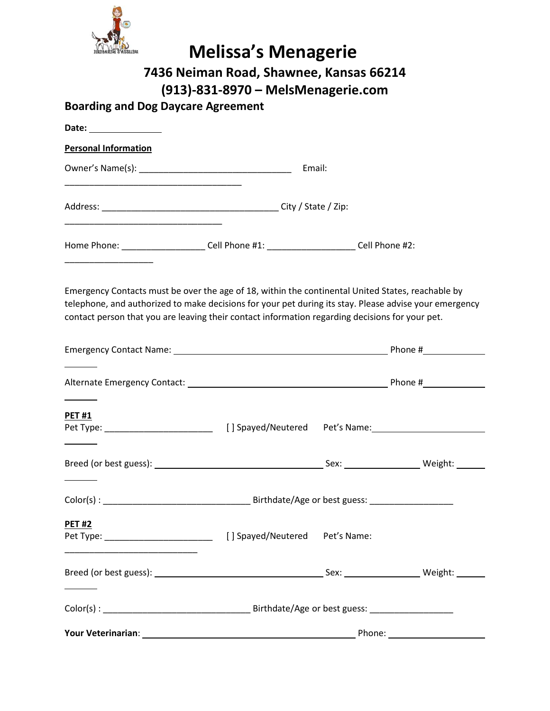

| <b>Melissa's Menagerie</b><br>7436 Neiman Road, Shawnee, Kansas 66214<br>(913)-831-8970 – MelsMenagerie.com                                                                                                                                                                                                    |  |  |                                                                                                                                                                                                                                |  |  |
|----------------------------------------------------------------------------------------------------------------------------------------------------------------------------------------------------------------------------------------------------------------------------------------------------------------|--|--|--------------------------------------------------------------------------------------------------------------------------------------------------------------------------------------------------------------------------------|--|--|
| <b>Boarding and Dog Daycare Agreement</b>                                                                                                                                                                                                                                                                      |  |  |                                                                                                                                                                                                                                |  |  |
| Date: ________________                                                                                                                                                                                                                                                                                         |  |  |                                                                                                                                                                                                                                |  |  |
| <b>Personal Information</b>                                                                                                                                                                                                                                                                                    |  |  |                                                                                                                                                                                                                                |  |  |
|                                                                                                                                                                                                                                                                                                                |  |  |                                                                                                                                                                                                                                |  |  |
|                                                                                                                                                                                                                                                                                                                |  |  |                                                                                                                                                                                                                                |  |  |
| Home Phone: ________________________Cell Phone #1: _________________________Cell Phone #2:                                                                                                                                                                                                                     |  |  |                                                                                                                                                                                                                                |  |  |
| Emergency Contacts must be over the age of 18, within the continental United States, reachable by<br>telephone, and authorized to make decisions for your pet during its stay. Please advise your emergency<br>contact person that you are leaving their contact information regarding decisions for your pet. |  |  |                                                                                                                                                                                                                                |  |  |
|                                                                                                                                                                                                                                                                                                                |  |  |                                                                                                                                                                                                                                |  |  |
| <b>PET#1</b>                                                                                                                                                                                                                                                                                                   |  |  |                                                                                                                                                                                                                                |  |  |
|                                                                                                                                                                                                                                                                                                                |  |  |                                                                                                                                                                                                                                |  |  |
|                                                                                                                                                                                                                                                                                                                |  |  |                                                                                                                                                                                                                                |  |  |
| <b>PET#2</b>                                                                                                                                                                                                                                                                                                   |  |  |                                                                                                                                                                                                                                |  |  |
|                                                                                                                                                                                                                                                                                                                |  |  |                                                                                                                                                                                                                                |  |  |
|                                                                                                                                                                                                                                                                                                                |  |  |                                                                                                                                                                                                                                |  |  |
| <b>Your Veterinarian: Exercise Service Service Service Service Service Service Service Service Service Service S</b>                                                                                                                                                                                           |  |  | Phone: and the state of the state of the state of the state of the state of the state of the state of the state of the state of the state of the state of the state of the state of the state of the state of the state of the |  |  |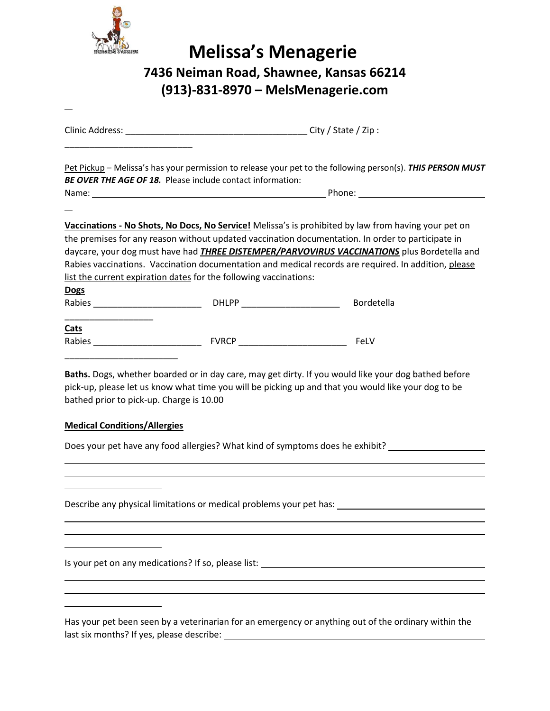

|                                                                                 | <b>BE OVER THE AGE OF 18.</b> Please include contact information: | Pet Pickup - Melissa's has your permission to release your pet to the following person(s). THIS PERSON MUST                                                                                                 |  |  |
|---------------------------------------------------------------------------------|-------------------------------------------------------------------|-------------------------------------------------------------------------------------------------------------------------------------------------------------------------------------------------------------|--|--|
|                                                                                 |                                                                   |                                                                                                                                                                                                             |  |  |
|                                                                                 |                                                                   |                                                                                                                                                                                                             |  |  |
|                                                                                 |                                                                   | Vaccinations - No Shots, No Docs, No Service! Melissa's is prohibited by law from having your pet on                                                                                                        |  |  |
|                                                                                 |                                                                   | the premises for any reason without updated vaccination documentation. In order to participate in<br>daycare, your dog must have had <i>THREE DISTEMPER/PARVOVIRUS VACCINATIONS</i> plus Bordetella and     |  |  |
|                                                                                 |                                                                   | Rabies vaccinations. Vaccination documentation and medical records are required. In addition, please                                                                                                        |  |  |
|                                                                                 | list the current expiration dates for the following vaccinations: |                                                                                                                                                                                                             |  |  |
| <b>Dogs</b>                                                                     |                                                                   |                                                                                                                                                                                                             |  |  |
|                                                                                 |                                                                   | Bordetella                                                                                                                                                                                                  |  |  |
| Cats                                                                            |                                                                   |                                                                                                                                                                                                             |  |  |
|                                                                                 |                                                                   |                                                                                                                                                                                                             |  |  |
|                                                                                 |                                                                   |                                                                                                                                                                                                             |  |  |
|                                                                                 |                                                                   | Baths. Dogs, whether boarded or in day care, may get dirty. If you would like your dog bathed before<br>pick-up, please let us know what time you will be picking up and that you would like your dog to be |  |  |
| bathed prior to pick-up. Charge is 10.00<br><b>Medical Conditions/Allergies</b> |                                                                   | Does your pet have any food allergies? What kind of symptoms does he exhibit? _____________________                                                                                                         |  |  |
|                                                                                 |                                                                   |                                                                                                                                                                                                             |  |  |
|                                                                                 |                                                                   | Describe any physical limitations or medical problems your pet has: _______________________________                                                                                                         |  |  |
|                                                                                 |                                                                   |                                                                                                                                                                                                             |  |  |
|                                                                                 |                                                                   | Is your pet on any medications? If so, please list: ____________________________                                                                                                                            |  |  |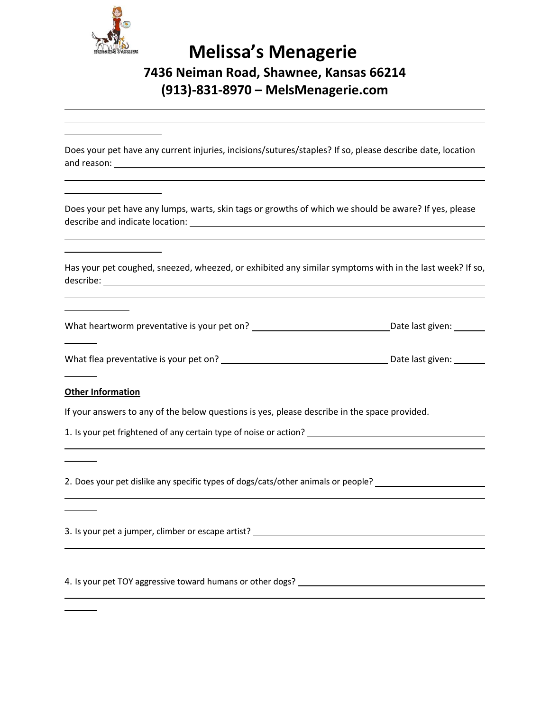

Does your pet have any current injuries, incisions/sutures/staples? If so, please describe date, location and reason:

Does your pet have any lumps, warts, skin tags or growths of which we should be aware? If yes, please describe and indicate location:

Has your pet coughed, sneezed, wheezed, or exhibited any similar symptoms with in the last week? If so, describe:

What heartworm preventative is your pet on? The manufacture of the last given:

What flea preventative is your pet on? Date last given:

#### **Other Information**

If your answers to any of the below questions is yes, please describe in the space provided.

1. Is your pet frightened of any certain type of noise or action?

2. Does your pet dislike any specific types of dogs/cats/other animals or people? \_\_\_\_\_\_\_\_\_\_\_\_\_\_\_\_\_\_\_\_\_\_\_\_\_\_\_\_

3. Is your pet a jumper, climber or escape artist?

4. Is your pet TOY aggressive toward humans or other dogs?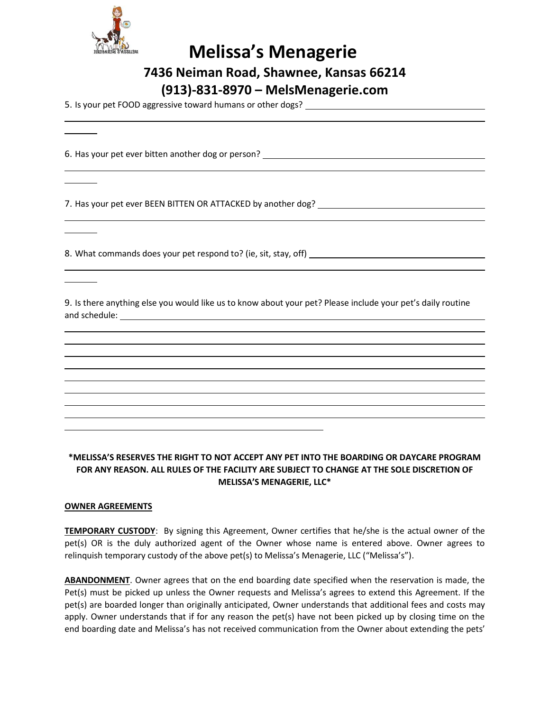

|  | <b>Melissa's Menagerie</b> |
|--|----------------------------|
|--|----------------------------|

**7436 Neiman Road, Shawnee, Kansas 66214**

**(913)-831-8970 – MelsMenagerie.com**

5. Is your pet FOOD aggressive toward humans or other dogs?

6. Has your pet ever bitten another dog or person?

7. Has your pet ever BEEN BITTEN OR ATTACKED by another dog?

8. What commands does your pet respond to? (ie, sit, stay, off)

9. Is there anything else you would like us to know about your pet? Please include your pet's daily routine and schedule:

#### **\*MELISSA'S RESERVES THE RIGHT TO NOT ACCEPT ANY PET INTO THE BOARDING OR DAYCARE PROGRAM FOR ANY REASON. ALL RULES OF THE FACILITY ARE SUBJECT TO CHANGE AT THE SOLE DISCRETION OF MELISSA'S MENAGERIE, LLC\***

#### **OWNER AGREEMENTS**

**TEMPORARY CUSTODY**: By signing this Agreement, Owner certifies that he/she is the actual owner of the pet(s) OR is the duly authorized agent of the Owner whose name is entered above. Owner agrees to relinquish temporary custody of the above pet(s) to Melissa's Menagerie, LLC ("Melissa's").

**ABANDONMENT**. Owner agrees that on the end boarding date specified when the reservation is made, the Pet(s) must be picked up unless the Owner requests and Melissa's agrees to extend this Agreement. If the pet(s) are boarded longer than originally anticipated, Owner understands that additional fees and costs may apply. Owner understands that if for any reason the pet(s) have not been picked up by closing time on the end boarding date and Melissa's has not received communication from the Owner about extending the pets'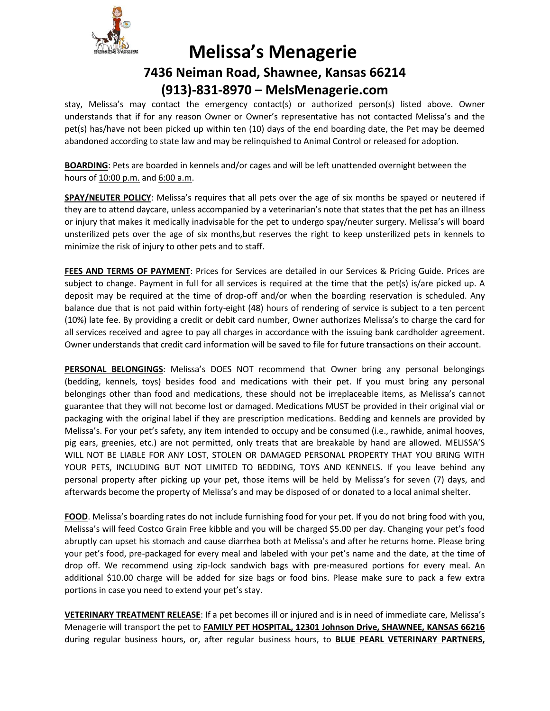

stay, Melissa's may contact the emergency contact(s) or authorized person(s) listed above. Owner understands that if for any reason Owner or Owner's representative has not contacted Melissa's and the pet(s) has/have not been picked up within ten (10) days of the end boarding date, the Pet may be deemed abandoned according to state law and may be relinquished to Animal Control or released for adoption.

**BOARDING**: Pets are boarded in kennels and/or cages and will be left unattended overnight between the hours of 10:00 p.m. and 6:00 a.m.

**SPAY/NEUTER POLICY**: Melissa's requires that all pets over the age of six months be spayed or neutered if they are to attend daycare, unless accompanied by a veterinarian's note that states that the pet has an illness or injury that makes it medically inadvisable for the pet to undergo spay/neuter surgery. Melissa's will board unsterilized pets over the age of six months,but reserves the right to keep unsterilized pets in kennels to minimize the risk of injury to other pets and to staff.

**FEES AND TERMS OF PAYMENT**: Prices for Services are detailed in our Services & Pricing Guide. Prices are subject to change. Payment in full for all services is required at the time that the pet(s) is/are picked up. A deposit may be required at the time of drop-off and/or when the boarding reservation is scheduled. Any balance due that is not paid within forty-eight (48) hours of rendering of service is subject to a ten percent (10%) late fee. By providing a credit or debit card number, Owner authorizes Melissa's to charge the card for all services received and agree to pay all charges in accordance with the issuing bank cardholder agreement. Owner understands that credit card information will be saved to file for future transactions on their account.

**PERSONAL BELONGINGS**: Melissa's DOES NOT recommend that Owner bring any personal belongings (bedding, kennels, toys) besides food and medications with their pet. If you must bring any personal belongings other than food and medications, these should not be irreplaceable items, as Melissa's cannot guarantee that they will not become lost or damaged. Medications MUST be provided in their original vial or packaging with the original label if they are prescription medications. Bedding and kennels are provided by Melissa's. For your pet's safety, any item intended to occupy and be consumed (i.e., rawhide, animal hooves, pig ears, greenies, etc.) are not permitted, only treats that are breakable by hand are allowed. MELISSA'S WILL NOT BE LIABLE FOR ANY LOST, STOLEN OR DAMAGED PERSONAL PROPERTY THAT YOU BRING WITH YOUR PETS, INCLUDING BUT NOT LIMITED TO BEDDING, TOYS AND KENNELS. If you leave behind any personal property after picking up your pet, those items will be held by Melissa's for seven (7) days, and afterwards become the property of Melissa's and may be disposed of or donated to a local animal shelter.

**FOOD**. Melissa's boarding rates do not include furnishing food for your pet. If you do not bring food with you, Melissa's will feed Costco Grain Free kibble and you will be charged \$5.00 per day. Changing your pet's food abruptly can upset his stomach and cause diarrhea both at Melissa's and after he returns home. Please bring your pet's food, pre-packaged for every meal and labeled with your pet's name and the date, at the time of drop off. We recommend using zip-lock sandwich bags with pre-measured portions for every meal. An additional \$10.00 charge will be added for size bags or food bins. Please make sure to pack a few extra portions in case you need to extend your pet's stay.

**VETERINARY TREATMENT RELEASE**: If a pet becomes ill or injured and is in need of immediate care, Melissa's Menagerie will transport the pet to **FAMILY PET HOSPITAL, 12301 Johnson Drive, SHAWNEE, KANSAS 66216** during regular business hours, or, after regular business hours, to **BLUE PEARL VETERINARY PARTNERS,**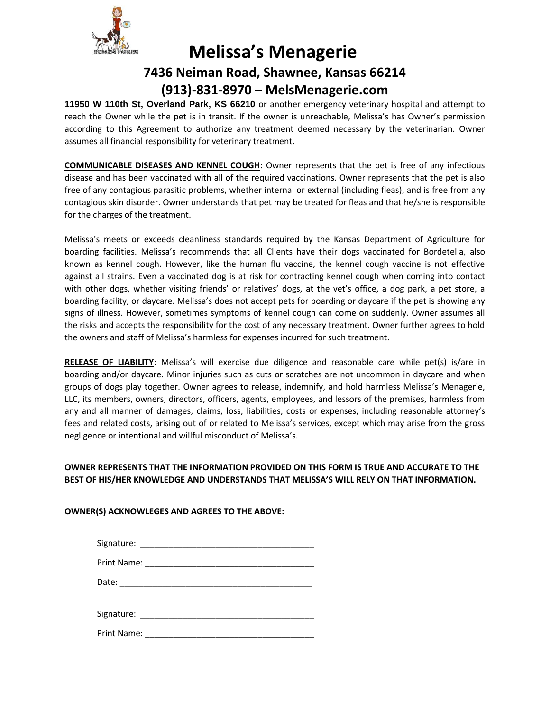

**11950 W 110th St, Overland Park, KS 66210** or another emergency veterinary hospital and attempt to reach the Owner while the pet is in transit. If the owner is unreachable, Melissa's has Owner's permission according to this Agreement to authorize any treatment deemed necessary by the veterinarian. Owner assumes all financial responsibility for veterinary treatment.

**COMMUNICABLE DISEASES AND KENNEL COUGH**: Owner represents that the pet is free of any infectious disease and has been vaccinated with all of the required vaccinations. Owner represents that the pet is also free of any contagious parasitic problems, whether internal or external (including fleas), and is free from any contagious skin disorder. Owner understands that pet may be treated for fleas and that he/she is responsible for the charges of the treatment.

Melissa's meets or exceeds cleanliness standards required by the Kansas Department of Agriculture for boarding facilities. Melissa's recommends that all Clients have their dogs vaccinated for Bordetella, also known as kennel cough. However, like the human flu vaccine, the kennel cough vaccine is not effective against all strains. Even a vaccinated dog is at risk for contracting kennel cough when coming into contact with other dogs, whether visiting friends' or relatives' dogs, at the vet's office, a dog park, a pet store, a boarding facility, or daycare. Melissa's does not accept pets for boarding or daycare if the pet is showing any signs of illness. However, sometimes symptoms of kennel cough can come on suddenly. Owner assumes all the risks and accepts the responsibility for the cost of any necessary treatment. Owner further agrees to hold the owners and staff of Melissa's harmless for expenses incurred for such treatment.

**RELEASE OF LIABILITY**: Melissa's will exercise due diligence and reasonable care while pet(s) is/are in boarding and/or daycare. Minor injuries such as cuts or scratches are not uncommon in daycare and when groups of dogs play together. Owner agrees to release, indemnify, and hold harmless Melissa's Menagerie, LLC, its members, owners, directors, officers, agents, employees, and lessors of the premises, harmless from any and all manner of damages, claims, loss, liabilities, costs or expenses, including reasonable attorney's fees and related costs, arising out of or related to Melissa's services, except which may arise from the gross negligence or intentional and willful misconduct of Melissa's.

### **OWNER REPRESENTS THAT THE INFORMATION PROVIDED ON THIS FORM IS TRUE AND ACCURATE TO THE BEST OF HIS/HER KNOWLEDGE AND UNDERSTANDS THAT MELISSA'S WILL RELY ON THAT INFORMATION.**

### **OWNER(S) ACKNOWLEGES AND AGREES TO THE ABOVE:**

|                    | Date: _________________________ |  |
|--------------------|---------------------------------|--|
|                    |                                 |  |
| <b>Print Name:</b> |                                 |  |